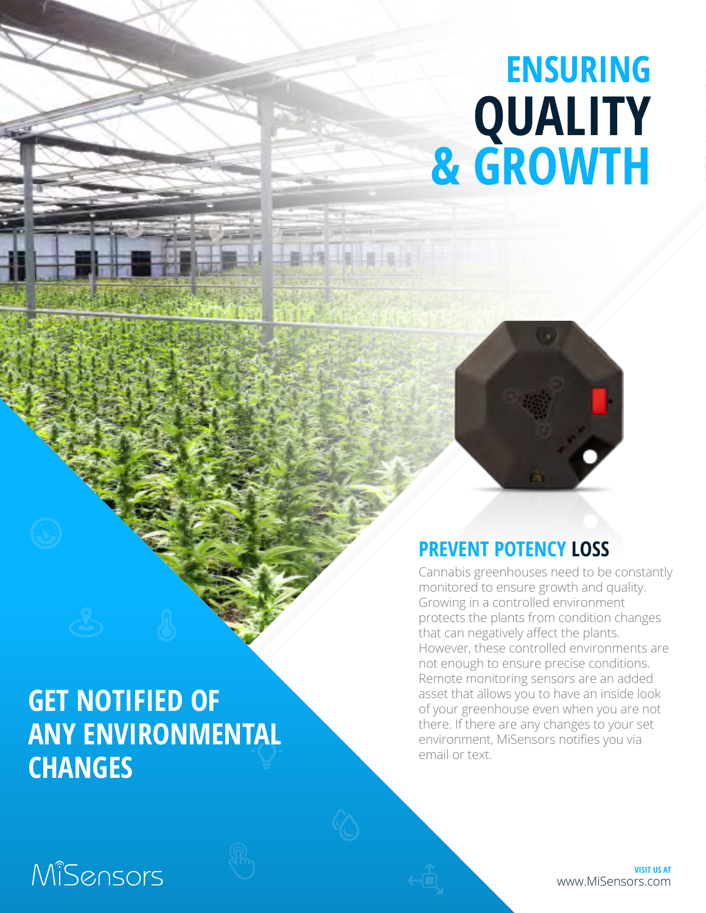# **ENSURING & GROWTH QUALITY**



 $-8 - 8 - 1$ 

#### **PREVENT POTENCY LOSS**

Cannabis greenhouses need to be constantly monitored to ensure growth and quality. Growing in a controlled environment protects the plants from condition changes that can negatively affect the plants. However, these controlled environments are not enough to ensure precise conditions. Remote monitoring sensors are an added asset that allows you to have an inside look of your greenhouse even when you are not there. If there are any changes to your set environment, MiSensors notifies you via email or text.

## **GET NOTIFIED OF ANY ENVIRONMENTAL CHANGES**

## MiSensors

www.MiSensors.com **VISIT US AT**